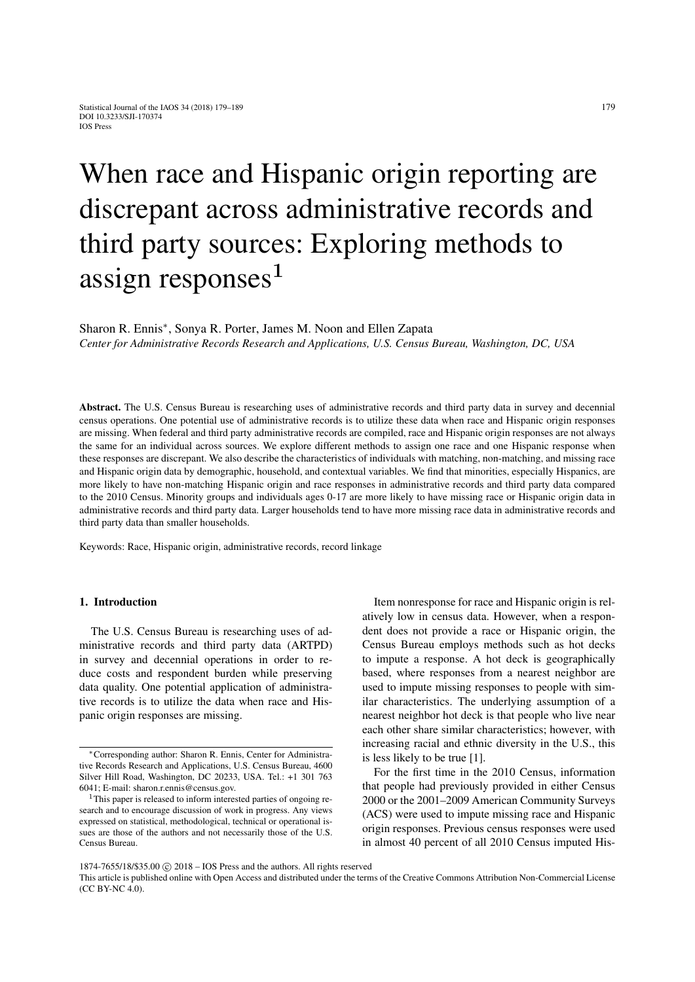# When race and Hispanic origin reporting are discrepant across administrative records and third party sources: Exploring methods to assign responses<sup>1</sup>

Sharon R. Ennis<sup>∗</sup> , Sonya R. Porter, James M. Noon and Ellen Zapata *Center for Administrative Records Research and Applications, U.S. Census Bureau, Washington, DC, USA*

Abstract. The U.S. Census Bureau is researching uses of administrative records and third party data in survey and decennial census operations. One potential use of administrative records is to utilize these data when race and Hispanic origin responses are missing. When federal and third party administrative records are compiled, race and Hispanic origin responses are not always the same for an individual across sources. We explore different methods to assign one race and one Hispanic response when these responses are discrepant. We also describe the characteristics of individuals with matching, non-matching, and missing race and Hispanic origin data by demographic, household, and contextual variables. We find that minorities, especially Hispanics, are more likely to have non-matching Hispanic origin and race responses in administrative records and third party data compared to the 2010 Census. Minority groups and individuals ages 0-17 are more likely to have missing race or Hispanic origin data in administrative records and third party data. Larger households tend to have more missing race data in administrative records and third party data than smaller households.

Keywords: Race, Hispanic origin, administrative records, record linkage

### 1. Introduction

The U.S. Census Bureau is researching uses of administrative records and third party data (ARTPD) in survey and decennial operations in order to reduce costs and respondent burden while preserving data quality. One potential application of administrative records is to utilize the data when race and Hispanic origin responses are missing.

Item nonresponse for race and Hispanic origin is relatively low in census data. However, when a respondent does not provide a race or Hispanic origin, the Census Bureau employs methods such as hot decks to impute a response. A hot deck is geographically based, where responses from a nearest neighbor are used to impute missing responses to people with similar characteristics. The underlying assumption of a nearest neighbor hot deck is that people who live near each other share similar characteristics; however, with increasing racial and ethnic diversity in the U.S., this is less likely to be true [\[1\]](#page-9-0).

For the first time in the 2010 Census, information that people had previously provided in either Census 2000 or the 2001–2009 American Community Surveys (ACS) were used to impute missing race and Hispanic origin responses. Previous census responses were used in almost 40 percent of all 2010 Census imputed His-

<sup>∗</sup>Corresponding author: Sharon R. Ennis, Center for Administrative Records Research and Applications, U.S. Census Bureau, 4600 Silver Hill Road, Washington, DC 20233, USA. Tel.: +1 301 763 6041; E-mail: sharon.r.ennis@census.gov.

 $1$ This paper is released to inform interested parties of ongoing research and to encourage discussion of work in progress. Any views expressed on statistical, methodological, technical or operational issues are those of the authors and not necessarily those of the U.S. Census Bureau.

<sup>1874-7655/18/\$35.00 © 2018 -</sup> IOS Press and the authors. All rights reserved

This article is published online with Open Access and distributed under the terms of the Creative Commons Attribution Non-Commercial License (CC BY-NC 4.0).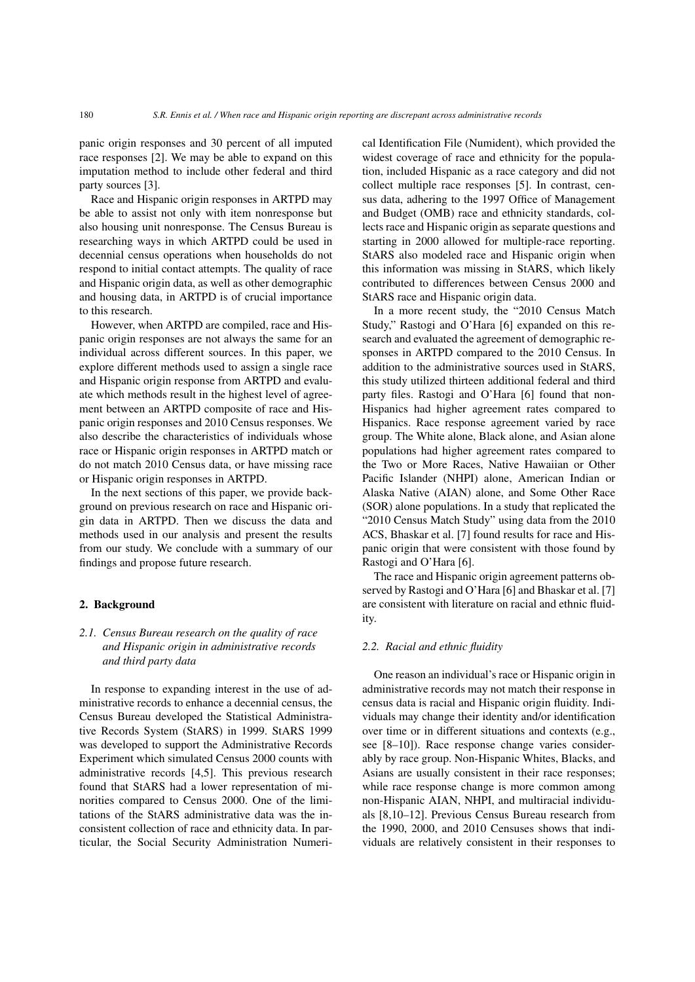panic origin responses and 30 percent of all imputed race responses [\[2\]](#page-9-1). We may be able to expand on this imputation method to include other federal and third party sources [\[3\]](#page-10-0).

Race and Hispanic origin responses in ARTPD may be able to assist not only with item nonresponse but also housing unit nonresponse. The Census Bureau is researching ways in which ARTPD could be used in decennial census operations when households do not respond to initial contact attempts. The quality of race and Hispanic origin data, as well as other demographic and housing data, in ARTPD is of crucial importance to this research.

However, when ARTPD are compiled, race and Hispanic origin responses are not always the same for an individual across different sources. In this paper, we explore different methods used to assign a single race and Hispanic origin response from ARTPD and evaluate which methods result in the highest level of agreement between an ARTPD composite of race and Hispanic origin responses and 2010 Census responses. We also describe the characteristics of individuals whose race or Hispanic origin responses in ARTPD match or do not match 2010 Census data, or have missing race or Hispanic origin responses in ARTPD.

In the next sections of this paper, we provide background on previous research on race and Hispanic origin data in ARTPD. Then we discuss the data and methods used in our analysis and present the results from our study. We conclude with a summary of our findings and propose future research.

## 2. Background

## *2.1. Census Bureau research on the quality of race and Hispanic origin in administrative records and third party data*

In response to expanding interest in the use of administrative records to enhance a decennial census, the Census Bureau developed the Statistical Administrative Records System (StARS) in 1999. StARS 1999 was developed to support the Administrative Records Experiment which simulated Census 2000 counts with administrative records [\[4](#page-10-1)[,5\]](#page-10-2). This previous research found that StARS had a lower representation of minorities compared to Census 2000. One of the limitations of the StARS administrative data was the inconsistent collection of race and ethnicity data. In particular, the Social Security Administration Numerical Identification File (Numident), which provided the widest coverage of race and ethnicity for the population, included Hispanic as a race category and did not collect multiple race responses [\[5\]](#page-10-2). In contrast, census data, adhering to the 1997 Office of Management and Budget (OMB) race and ethnicity standards, collects race and Hispanic origin as separate questions and starting in 2000 allowed for multiple-race reporting. StARS also modeled race and Hispanic origin when this information was missing in StARS, which likely contributed to differences between Census 2000 and StARS race and Hispanic origin data.

In a more recent study, the "2010 Census Match Study," Rastogi and O'Hara [\[6\]](#page-10-3) expanded on this research and evaluated the agreement of demographic responses in ARTPD compared to the 2010 Census. In addition to the administrative sources used in StARS, this study utilized thirteen additional federal and third party files. Rastogi and O'Hara [\[6\]](#page-10-3) found that non-Hispanics had higher agreement rates compared to Hispanics. Race response agreement varied by race group. The White alone, Black alone, and Asian alone populations had higher agreement rates compared to the Two or More Races, Native Hawaiian or Other Pacific Islander (NHPI) alone, American Indian or Alaska Native (AIAN) alone, and Some Other Race (SOR) alone populations. In a study that replicated the "2010 Census Match Study" using data from the 2010 ACS, Bhaskar et al. [\[7\]](#page-10-4) found results for race and Hispanic origin that were consistent with those found by Rastogi and O'Hara [\[6\]](#page-10-3).

The race and Hispanic origin agreement patterns observed by Rastogi and O'Hara [\[6\]](#page-10-3) and Bhaskar et al. [\[7\]](#page-10-4) are consistent with literature on racial and ethnic fluidity.

### *2.2. Racial and ethnic fluidity*

One reason an individual's race or Hispanic origin in administrative records may not match their response in census data is racial and Hispanic origin fluidity. Individuals may change their identity and/or identification over time or in different situations and contexts (e.g., see [\[8](#page-10-5)[–10\]](#page-10-6)). Race response change varies considerably by race group. Non-Hispanic Whites, Blacks, and Asians are usually consistent in their race responses; while race response change is more common among non-Hispanic AIAN, NHPI, and multiracial individuals [\[8,](#page-10-5)[10](#page-10-6)[–12\]](#page-10-7). Previous Census Bureau research from the 1990, 2000, and 2010 Censuses shows that individuals are relatively consistent in their responses to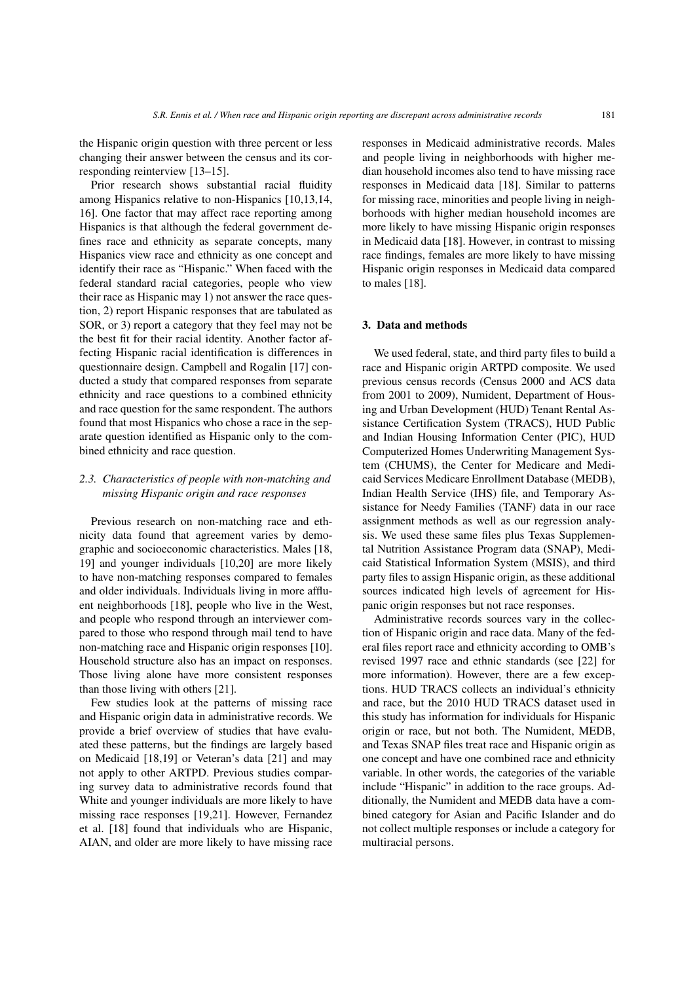the Hispanic origin question with three percent or less changing their answer between the census and its corresponding reinterview [\[13–](#page-10-8)[15\]](#page-10-9).

Prior research shows substantial racial fluidity among Hispanics relative to non-Hispanics [\[10](#page-10-6)[,13](#page-10-8)[,14,](#page-10-10) [16\]](#page-10-11). One factor that may affect race reporting among Hispanics is that although the federal government defines race and ethnicity as separate concepts, many Hispanics view race and ethnicity as one concept and identify their race as "Hispanic." When faced with the federal standard racial categories, people who view their race as Hispanic may 1) not answer the race question, 2) report Hispanic responses that are tabulated as SOR, or 3) report a category that they feel may not be the best fit for their racial identity. Another factor affecting Hispanic racial identification is differences in questionnaire design. Campbell and Rogalin [\[17\]](#page-10-12) conducted a study that compared responses from separate ethnicity and race questions to a combined ethnicity and race question for the same respondent. The authors found that most Hispanics who chose a race in the separate question identified as Hispanic only to the combined ethnicity and race question.

## *2.3. Characteristics of people with non-matching and missing Hispanic origin and race responses*

Previous research on non-matching race and ethnicity data found that agreement varies by demographic and socioeconomic characteristics. Males [\[18,](#page-10-13) [19\]](#page-10-14) and younger individuals [\[10](#page-10-6)[,20\]](#page-10-15) are more likely to have non-matching responses compared to females and older individuals. Individuals living in more affluent neighborhoods [\[18\]](#page-10-13), people who live in the West, and people who respond through an interviewer compared to those who respond through mail tend to have non-matching race and Hispanic origin responses [\[10\]](#page-10-6). Household structure also has an impact on responses. Those living alone have more consistent responses than those living with others [\[21\]](#page-10-16).

Few studies look at the patterns of missing race and Hispanic origin data in administrative records. We provide a brief overview of studies that have evaluated these patterns, but the findings are largely based on Medicaid [\[18](#page-10-13)[,19\]](#page-10-14) or Veteran's data [\[21\]](#page-10-16) and may not apply to other ARTPD. Previous studies comparing survey data to administrative records found that White and younger individuals are more likely to have missing race responses [\[19](#page-10-14)[,21\]](#page-10-16). However, Fernandez et al. [\[18\]](#page-10-13) found that individuals who are Hispanic, AIAN, and older are more likely to have missing race responses in Medicaid administrative records. Males and people living in neighborhoods with higher median household incomes also tend to have missing race responses in Medicaid data [\[18\]](#page-10-13). Similar to patterns for missing race, minorities and people living in neighborhoods with higher median household incomes are more likely to have missing Hispanic origin responses in Medicaid data [\[18\]](#page-10-13). However, in contrast to missing race findings, females are more likely to have missing Hispanic origin responses in Medicaid data compared to males [\[18\]](#page-10-13).

## 3. Data and methods

We used federal, state, and third party files to build a race and Hispanic origin ARTPD composite. We used previous census records (Census 2000 and ACS data from 2001 to 2009), Numident, Department of Housing and Urban Development (HUD) Tenant Rental Assistance Certification System (TRACS), HUD Public and Indian Housing Information Center (PIC), HUD Computerized Homes Underwriting Management System (CHUMS), the Center for Medicare and Medicaid Services Medicare Enrollment Database (MEDB), Indian Health Service (IHS) file, and Temporary Assistance for Needy Families (TANF) data in our race assignment methods as well as our regression analysis. We used these same files plus Texas Supplemental Nutrition Assistance Program data (SNAP), Medicaid Statistical Information System (MSIS), and third party files to assign Hispanic origin, as these additional sources indicated high levels of agreement for Hispanic origin responses but not race responses.

Administrative records sources vary in the collection of Hispanic origin and race data. Many of the federal files report race and ethnicity according to OMB's revised 1997 race and ethnic standards (see [\[22\]](#page-10-17) for more information). However, there are a few exceptions. HUD TRACS collects an individual's ethnicity and race, but the 2010 HUD TRACS dataset used in this study has information for individuals for Hispanic origin or race, but not both. The Numident, MEDB, and Texas SNAP files treat race and Hispanic origin as one concept and have one combined race and ethnicity variable. In other words, the categories of the variable include "Hispanic" in addition to the race groups. Additionally, the Numident and MEDB data have a combined category for Asian and Pacific Islander and do not collect multiple responses or include a category for multiracial persons.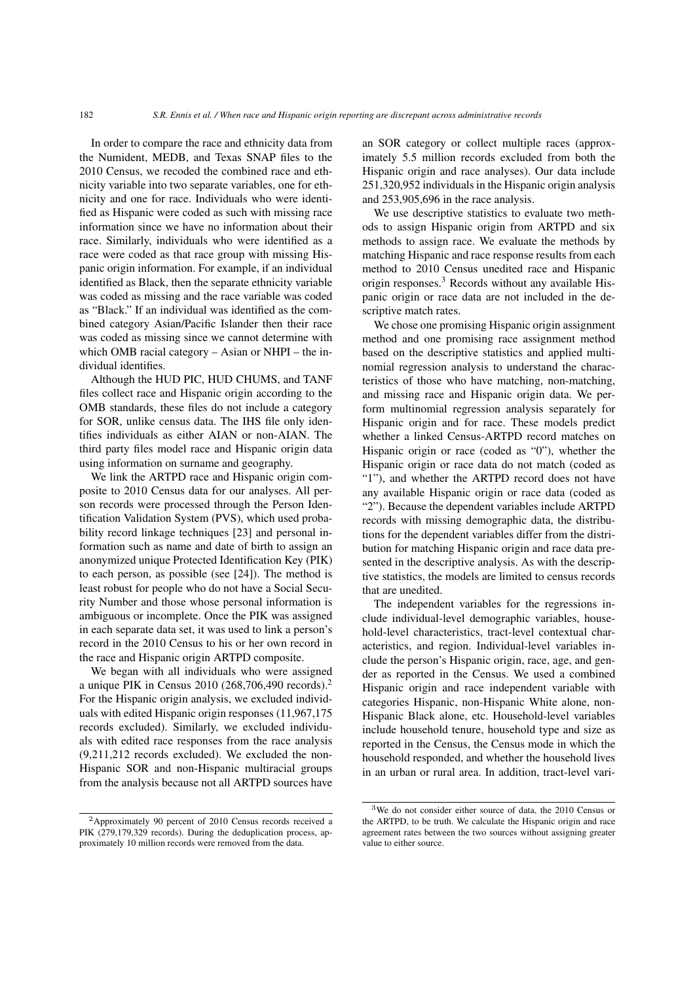In order to compare the race and ethnicity data from the Numident, MEDB, and Texas SNAP files to the 2010 Census, we recoded the combined race and ethnicity variable into two separate variables, one for ethnicity and one for race. Individuals who were identified as Hispanic were coded as such with missing race information since we have no information about their race. Similarly, individuals who were identified as a race were coded as that race group with missing Hispanic origin information. For example, if an individual identified as Black, then the separate ethnicity variable was coded as missing and the race variable was coded as "Black." If an individual was identified as the combined category Asian/Pacific Islander then their race was coded as missing since we cannot determine with which OMB racial category – Asian or NHPI – the individual identifies.

Although the HUD PIC, HUD CHUMS, and TANF files collect race and Hispanic origin according to the OMB standards, these files do not include a category for SOR, unlike census data. The IHS file only identifies individuals as either AIAN or non-AIAN. The third party files model race and Hispanic origin data using information on surname and geography.

We link the ARTPD race and Hispanic origin composite to 2010 Census data for our analyses. All person records were processed through the Person Identification Validation System (PVS), which used probability record linkage techniques [\[23\]](#page-10-18) and personal information such as name and date of birth to assign an anonymized unique Protected Identification Key (PIK) to each person, as possible (see [\[24\]](#page-10-19)). The method is least robust for people who do not have a Social Security Number and those whose personal information is ambiguous or incomplete. Once the PIK was assigned in each separate data set, it was used to link a person's record in the 2010 Census to his or her own record in the race and Hispanic origin ARTPD composite.

We began with all individuals who were assigned a unique PIK in Census 2010 (268,706,490 records).[2](#page-3-0) For the Hispanic origin analysis, we excluded individuals with edited Hispanic origin responses (11,967,175 records excluded). Similarly, we excluded individuals with edited race responses from the race analysis (9,211,212 records excluded). We excluded the non-Hispanic SOR and non-Hispanic multiracial groups from the analysis because not all ARTPD sources have an SOR category or collect multiple races (approximately 5.5 million records excluded from both the Hispanic origin and race analyses). Our data include 251,320,952 individuals in the Hispanic origin analysis and 253,905,696 in the race analysis.

We use descriptive statistics to evaluate two methods to assign Hispanic origin from ARTPD and six methods to assign race. We evaluate the methods by matching Hispanic and race response results from each method to 2010 Census unedited race and Hispanic origin responses.[3](#page-3-1) Records without any available Hispanic origin or race data are not included in the descriptive match rates.

We chose one promising Hispanic origin assignment method and one promising race assignment method based on the descriptive statistics and applied multinomial regression analysis to understand the characteristics of those who have matching, non-matching, and missing race and Hispanic origin data. We perform multinomial regression analysis separately for Hispanic origin and for race. These models predict whether a linked Census-ARTPD record matches on Hispanic origin or race (coded as "0"), whether the Hispanic origin or race data do not match (coded as "1"), and whether the ARTPD record does not have any available Hispanic origin or race data (coded as "2"). Because the dependent variables include ARTPD records with missing demographic data, the distributions for the dependent variables differ from the distribution for matching Hispanic origin and race data presented in the descriptive analysis. As with the descriptive statistics, the models are limited to census records that are unedited.

The independent variables for the regressions include individual-level demographic variables, household-level characteristics, tract-level contextual characteristics, and region. Individual-level variables include the person's Hispanic origin, race, age, and gender as reported in the Census. We used a combined Hispanic origin and race independent variable with categories Hispanic, non-Hispanic White alone, non-Hispanic Black alone, etc. Household-level variables include household tenure, household type and size as reported in the Census, the Census mode in which the household responded, and whether the household lives in an urban or rural area. In addition, tract-level vari-

<span id="page-3-0"></span><sup>2</sup>Approximately 90 percent of 2010 Census records received a PIK (279,179,329 records). During the deduplication process, approximately 10 million records were removed from the data.

<span id="page-3-1"></span><sup>3</sup>We do not consider either source of data, the 2010 Census or the ARTPD, to be truth. We calculate the Hispanic origin and race agreement rates between the two sources without assigning greater value to either source.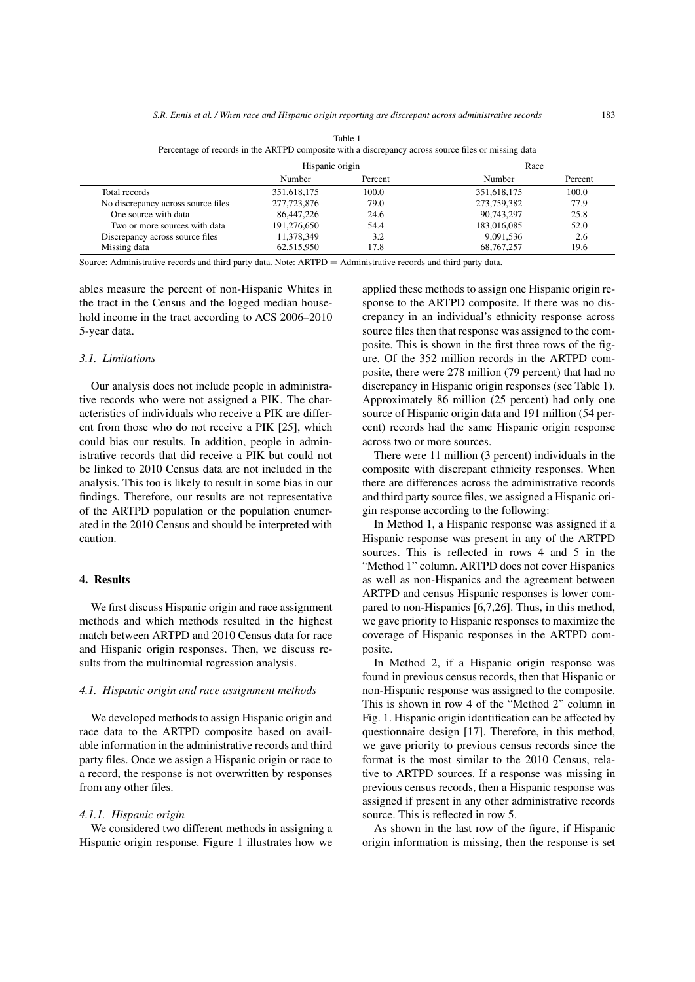<span id="page-4-0"></span>

|                                    | Hispanic origin |         | Race        |         |  |
|------------------------------------|-----------------|---------|-------------|---------|--|
|                                    | Number          | Percent | Number      | Percent |  |
| Total records                      | 351,618,175     | 100.0   | 351,618,175 | 100.0   |  |
| No discrepancy across source files | 277,723,876     | 79.0    | 273,759,382 | 77.9    |  |
| One source with data               | 86,447,226      | 24.6    | 90.743.297  | 25.8    |  |
| Two or more sources with data      | 191.276.650     | 54.4    | 183,016,085 | 52.0    |  |
| Discrepancy across source files    | 11.378.349      | 3.2     | 9.091.536   | 2.6     |  |
| Missing data                       | 62.515.950      | 17.8    | 68,767,257  | 19.6    |  |

Table 1 Percentage of records in the ARTPD composite with a discrepancy across source files or missing data

Source: Administrative records and third party data. Note: ARTPD = Administrative records and third party data.

ables measure the percent of non-Hispanic Whites in the tract in the Census and the logged median household income in the tract according to ACS 2006–2010 5-year data.

#### *3.1. Limitations*

Our analysis does not include people in administrative records who were not assigned a PIK. The characteristics of individuals who receive a PIK are different from those who do not receive a PIK [\[25\]](#page-10-20), which could bias our results. In addition, people in administrative records that did receive a PIK but could not be linked to 2010 Census data are not included in the analysis. This too is likely to result in some bias in our findings. Therefore, our results are not representative of the ARTPD population or the population enumerated in the 2010 Census and should be interpreted with caution.

## 4. Results

We first discuss Hispanic origin and race assignment methods and which methods resulted in the highest match between ARTPD and 2010 Census data for race and Hispanic origin responses. Then, we discuss results from the multinomial regression analysis.

### *4.1. Hispanic origin and race assignment methods*

We developed methods to assign Hispanic origin and race data to the ARTPD composite based on available information in the administrative records and third party files. Once we assign a Hispanic origin or race to a record, the response is not overwritten by responses from any other files.

#### *4.1.1. Hispanic origin*

We considered two different methods in assigning a Hispanic origin response. Figure [1](#page-5-0) illustrates how we applied these methods to assign one Hispanic origin response to the ARTPD composite. If there was no discrepancy in an individual's ethnicity response across source files then that response was assigned to the composite. This is shown in the first three rows of the figure. Of the 352 million records in the ARTPD composite, there were 278 million (79 percent) that had no discrepancy in Hispanic origin responses (see Table [1\)](#page-4-0). Approximately 86 million (25 percent) had only one source of Hispanic origin data and 191 million (54 percent) records had the same Hispanic origin response across two or more sources.

There were 11 million (3 percent) individuals in the composite with discrepant ethnicity responses. When there are differences across the administrative records and third party source files, we assigned a Hispanic origin response according to the following:

In Method 1, a Hispanic response was assigned if a Hispanic response was present in any of the ARTPD sources. This is reflected in rows 4 and 5 in the "Method 1" column. ARTPD does not cover Hispanics as well as non-Hispanics and the agreement between ARTPD and census Hispanic responses is lower compared to non-Hispanics [\[6,](#page-10-3)[7](#page-10-4)[,26\]](#page-10-21). Thus, in this method, we gave priority to Hispanic responses to maximize the coverage of Hispanic responses in the ARTPD composite.

In Method 2, if a Hispanic origin response was found in previous census records, then that Hispanic or non-Hispanic response was assigned to the composite. This is shown in row 4 of the "Method 2" column in Fig. [1.](#page-5-0) Hispanic origin identification can be affected by questionnaire design [\[17\]](#page-10-12). Therefore, in this method, we gave priority to previous census records since the format is the most similar to the 2010 Census, relative to ARTPD sources. If a response was missing in previous census records, then a Hispanic response was assigned if present in any other administrative records source. This is reflected in row 5.

As shown in the last row of the figure, if Hispanic origin information is missing, then the response is set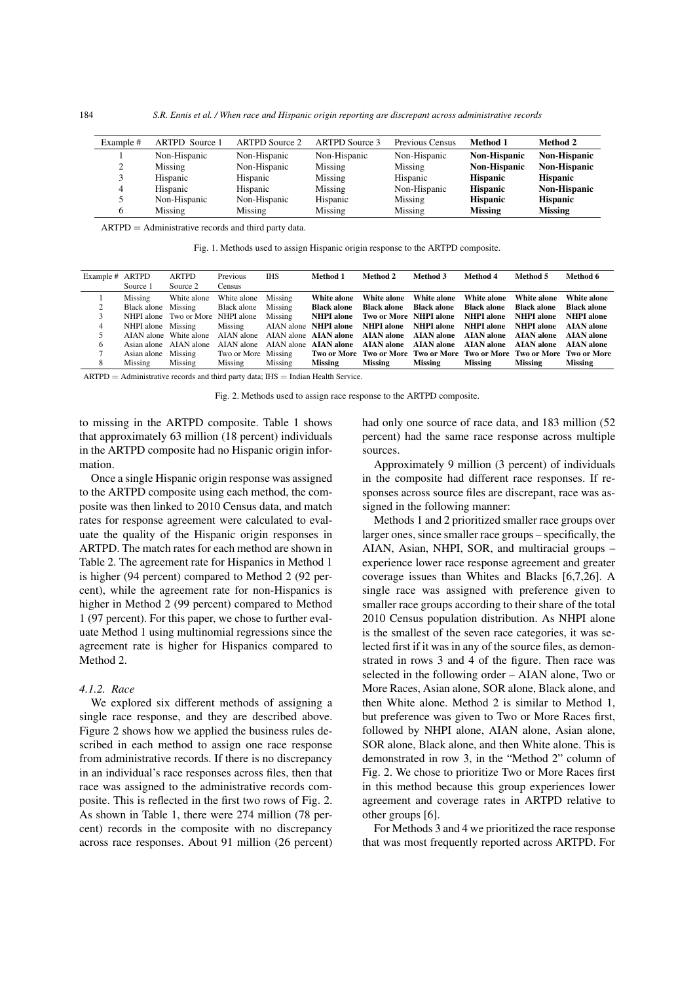| Example # | <b>ARTPD</b> Source 1 | <b>ARTPD Source 2</b> | <b>ARTPD</b> Source 3 | Previous Census | Method 1            | <b>Method 2</b>     |
|-----------|-----------------------|-----------------------|-----------------------|-----------------|---------------------|---------------------|
|           | Non-Hispanic          | Non-Hispanic          | Non-Hispanic          | Non-Hispanic    | <b>Non-Hispanic</b> | <b>Non-Hispanic</b> |
|           | Missing               | Non-Hispanic          | Missing               | Missing         | <b>Non-Hispanic</b> | <b>Non-Hispanic</b> |
|           | Hispanic              | Hispanic              | Missing               | Hispanic        | <b>Hispanic</b>     | <b>Hispanic</b>     |
| 4         | Hispanic              | Hispanic              | Missing               | Non-Hispanic    | <b>Hispanic</b>     | <b>Non-Hispanic</b> |
|           | Non-Hispanic          | Non-Hispanic          | Hispanic              | Missing         | <b>Hispanic</b>     | <b>Hispanic</b>     |
| 6         | Missing               | Missing               | Missing               | Missing         | <b>Missing</b>      | <b>Missing</b>      |

ARTPD = Administrative records and third party data.

<span id="page-5-0"></span>Fig. 1. Methods used to assign Hispanic origin response to the ARTPD composite.

| Example # ARTPD |                     | <b>ARTPD</b>                      | Previous            | <b>IHS</b> | Method 1                                           | Method 2               | Method 3                                                                | Method 4           | Method 5           | Method 6           |
|-----------------|---------------------|-----------------------------------|---------------------|------------|----------------------------------------------------|------------------------|-------------------------------------------------------------------------|--------------------|--------------------|--------------------|
|                 | Source 1            | Source 2                          | Census              |            |                                                    |                        |                                                                         |                    |                    |                    |
|                 | Missing             | White alone                       | White alone         | Missing    | White alone                                        | White alone            | White alone                                                             | White alone        | White alone        | White alone        |
|                 | Black alone Missing |                                   | Black alone         | Missing    | <b>Black alone</b>                                 | <b>Black alone</b>     | <b>Black alone</b>                                                      | <b>Black alone</b> | <b>Black alone</b> | <b>Black alone</b> |
|                 |                     | NHPI alone Two or More NHPI alone |                     | Missing    | <b>NHPI</b> alone                                  | Two or More NHPI alone |                                                                         | <b>NHPI</b> alone  | <b>NHPI</b> alone  | <b>NHPI</b> alone  |
| 4               | NHPI alone Missing  |                                   | Missing             |            | AIAN alone <b>NHPI</b> alone                       | NHPI alone             | <b>NHPI</b> alone                                                       | <b>NHPI</b> alone  | <b>NHPI</b> alone  | <b>AIAN</b> alone  |
|                 |                     | AIAN alone White alone            | AIAN alone          |            | AIAN alone <b>AIAN alone AIAN alone AIAN alone</b> |                        |                                                                         | AIAN alone         | AIAN alone         | <b>AIAN</b> alone  |
| 6               |                     | Asian alone AIAN alone            | AIAN alone          |            | AIAN alone <b>AIAN alone</b>                       | <b>AIAN alone</b>      | <b>AIAN</b> alone                                                       | AIAN alone         | <b>AIAN</b> alone  | <b>AIAN</b> alone  |
|                 | Asian alone Missing |                                   | Two or More Missing |            |                                                    |                        | Two or More Two or More Two or More Two or More Two or More Two or More |                    |                    |                    |
| 8               | Missing             | Missing                           | Missing             | Missing    | <b>Missing</b>                                     | Missing                | <b>Missing</b>                                                          | Missing            | Missing            | <b>Missing</b>     |

 $ARTPD =$  Administrative records and third party data;  $IHS =$  Indian Health Service.

<span id="page-5-1"></span>Fig. 2. Methods used to assign race response to the ARTPD composite.

to missing in the ARTPD composite. Table [1](#page-4-0) shows that approximately 63 million (18 percent) individuals in the ARTPD composite had no Hispanic origin information.

Once a single Hispanic origin response was assigned to the ARTPD composite using each method, the composite was then linked to 2010 Census data, and match rates for response agreement were calculated to evaluate the quality of the Hispanic origin responses in ARTPD. The match rates for each method are shown in Table [2.](#page-6-0) The agreement rate for Hispanics in Method 1 is higher (94 percent) compared to Method 2 (92 percent), while the agreement rate for non-Hispanics is higher in Method 2 (99 percent) compared to Method 1 (97 percent). For this paper, we chose to further evaluate Method 1 using multinomial regressions since the agreement rate is higher for Hispanics compared to Method 2.

#### *4.1.2. Race*

We explored six different methods of assigning a single race response, and they are described above. Figure [2](#page-5-1) shows how we applied the business rules described in each method to assign one race response from administrative records. If there is no discrepancy in an individual's race responses across files, then that race was assigned to the administrative records composite. This is reflected in the first two rows of Fig. [2.](#page-5-1) As shown in Table [1,](#page-4-0) there were 274 million (78 percent) records in the composite with no discrepancy across race responses. About 91 million (26 percent) had only one source of race data, and 183 million (52 percent) had the same race response across multiple sources.

Approximately 9 million (3 percent) of individuals in the composite had different race responses. If responses across source files are discrepant, race was assigned in the following manner:

Methods 1 and 2 prioritized smaller race groups over larger ones, since smaller race groups – specifically, the AIAN, Asian, NHPI, SOR, and multiracial groups – experience lower race response agreement and greater coverage issues than Whites and Blacks [\[6,](#page-10-3)[7,](#page-10-4)[26\]](#page-10-21). A single race was assigned with preference given to smaller race groups according to their share of the total 2010 Census population distribution. As NHPI alone is the smallest of the seven race categories, it was selected first if it was in any of the source files, as demonstrated in rows 3 and 4 of the figure. Then race was selected in the following order – AIAN alone, Two or More Races, Asian alone, SOR alone, Black alone, and then White alone. Method 2 is similar to Method 1, but preference was given to Two or More Races first, followed by NHPI alone, AIAN alone, Asian alone, SOR alone, Black alone, and then White alone. This is demonstrated in row 3, in the "Method 2" column of Fig. [2.](#page-5-1) We chose to prioritize Two or More Races first in this method because this group experiences lower agreement and coverage rates in ARTPD relative to other groups [\[6\]](#page-10-3).

For Methods 3 and 4 we prioritized the race response that was most frequently reported across ARTPD. For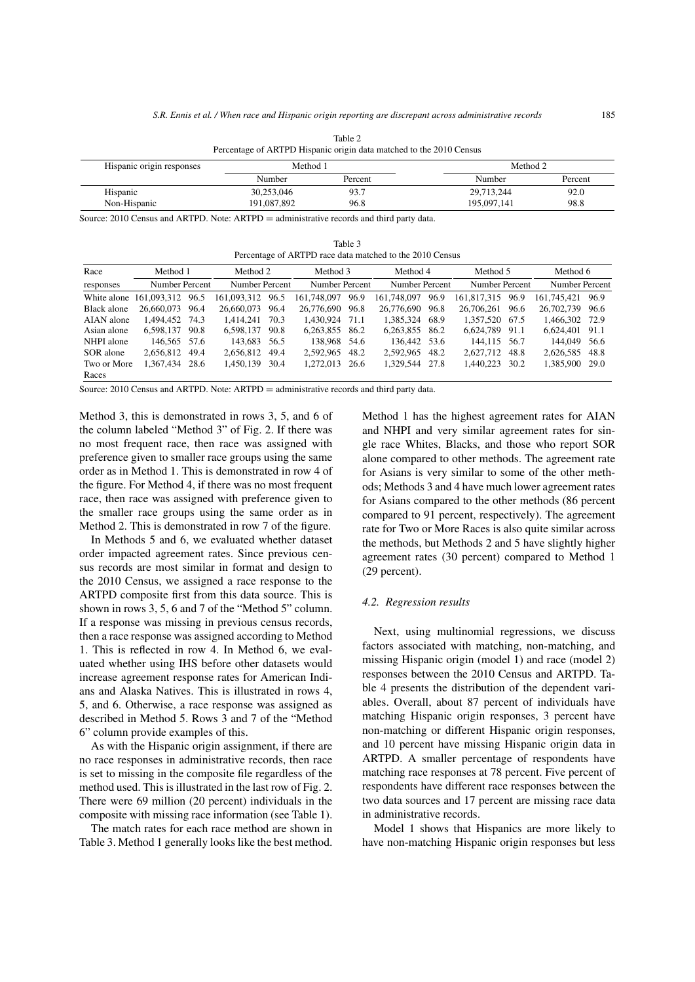<span id="page-6-0"></span>

| Percentage of ARTPD Hispanic origin data matched to the 2010 Census |            |         |            |         |  |  |  |  |
|---------------------------------------------------------------------|------------|---------|------------|---------|--|--|--|--|
| Hispanic origin responses                                           | Method 1   |         | Method 2   |         |  |  |  |  |
|                                                                     | Number     | Percent | Number     | Percent |  |  |  |  |
| Hispanic                                                            | 30.253,046 | 93.7    | 29.713.244 | 92.0    |  |  |  |  |

Non-Hispanic 191,087,892 96.8 195,097,141 98.8

Table 2

Source: 2010 Census and ARTPD. Note: ARTPD = administrative records and third party data.

Table 3 Percentage of ARTPD race data matched to the 2010 Census

<span id="page-6-1"></span>

| Race        | Method 1                     |      | Method 2         |      | Method 3        |      | Method 4       |      | Method 5       |      | Method 6         |  |
|-------------|------------------------------|------|------------------|------|-----------------|------|----------------|------|----------------|------|------------------|--|
| responses   | Number Percent               |      | Number Percent   |      | Number Percent  |      | Number Percent |      | Number Percent |      | Number Percent   |  |
|             | White alone 161,093,312 96.5 |      | 161,093,312 96.5 |      | 161,748,097     | 96.9 | 161,748,097    | 96.9 | 161.817.315    | 96.9 | 161,745,421 96.9 |  |
| Black alone | 26,660,073                   | 96.4 | 26,660,073 96.4  |      | 26,776,690 96.8 |      | 26,776,690     | 96.8 | 26.706.261     | 96.6 | 26,702,739 96.6  |  |
| AIAN alone  | 1.494.452 74.3               |      | 1.414.241 70.3   |      | 1.430.924 71.1  |      | 1.385.324      | 68.9 | 1.357.520 67.5 |      | 1,466,302 72.9   |  |
| Asian alone | 6.598.137                    | 90.8 | 6.598.137        | 90.8 | 6.263.855 86.2  |      | 6.263.855      | 86.2 | 6.624.789 91.1 |      | 6.624.401 91.1   |  |
| NHPI alone  | 146.565 57.6                 |      | 143,683 56.5     |      | 138,968 54.6    |      | 136,442 53.6   |      | 144,115 56.7   |      | 144,049 56.6     |  |
| SOR alone   | 2.656.812                    | 49.4 | 2.656.812 49.4   |      | 2.592.965 48.2  |      | 2.592.965      | 48.2 | 2.627.712 48.8 |      | 2.626.585 48.8   |  |
| Two or More | 1.367.434                    | 28.6 | 1,450,139 30.4   |      | 1.272.013 26.6  |      | 1.329.544 27.8 |      | 1.440.223 30.2 |      | 1,385,900 29.0   |  |
| Races       |                              |      |                  |      |                 |      |                |      |                |      |                  |  |

Source: 2010 Census and ARTPD. Note: ARTPD = administrative records and third party data.

Method 3, this is demonstrated in rows 3, 5, and 6 of the column labeled "Method 3" of Fig. [2.](#page-5-1) If there was no most frequent race, then race was assigned with preference given to smaller race groups using the same order as in Method 1. This is demonstrated in row 4 of the figure. For Method 4, if there was no most frequent race, then race was assigned with preference given to the smaller race groups using the same order as in Method 2. This is demonstrated in row 7 of the figure.

In Methods 5 and 6, we evaluated whether dataset order impacted agreement rates. Since previous census records are most similar in format and design to the 2010 Census, we assigned a race response to the ARTPD composite first from this data source. This is shown in rows 3, 5, 6 and 7 of the "Method 5" column. If a response was missing in previous census records, then a race response was assigned according to Method 1. This is reflected in row 4. In Method 6, we evaluated whether using IHS before other datasets would increase agreement response rates for American Indians and Alaska Natives. This is illustrated in rows 4, 5, and 6. Otherwise, a race response was assigned as described in Method 5. Rows 3 and 7 of the "Method 6" column provide examples of this.

As with the Hispanic origin assignment, if there are no race responses in administrative records, then race is set to missing in the composite file regardless of the method used. This is illustrated in the last row of Fig. [2.](#page-5-1) There were 69 million (20 percent) individuals in the composite with missing race information (see Table [1\)](#page-4-0).

The match rates for each race method are shown in Table [3.](#page-6-1) Method 1 generally looks like the best method. Method 1 has the highest agreement rates for AIAN and NHPI and very similar agreement rates for single race Whites, Blacks, and those who report SOR alone compared to other methods. The agreement rate for Asians is very similar to some of the other methods; Methods 3 and 4 have much lower agreement rates for Asians compared to the other methods (86 percent compared to 91 percent, respectively). The agreement rate for Two or More Races is also quite similar across the methods, but Methods 2 and 5 have slightly higher agreement rates (30 percent) compared to Method 1 (29 percent).

#### *4.2. Regression results*

Next, using multinomial regressions, we discuss factors associated with matching, non-matching, and missing Hispanic origin (model 1) and race (model 2) responses between the 2010 Census and ARTPD. Table [4](#page-7-0) presents the distribution of the dependent variables. Overall, about 87 percent of individuals have matching Hispanic origin responses, 3 percent have non-matching or different Hispanic origin responses, and 10 percent have missing Hispanic origin data in ARTPD. A smaller percentage of respondents have matching race responses at 78 percent. Five percent of respondents have different race responses between the two data sources and 17 percent are missing race data in administrative records.

Model 1 shows that Hispanics are more likely to have non-matching Hispanic origin responses but less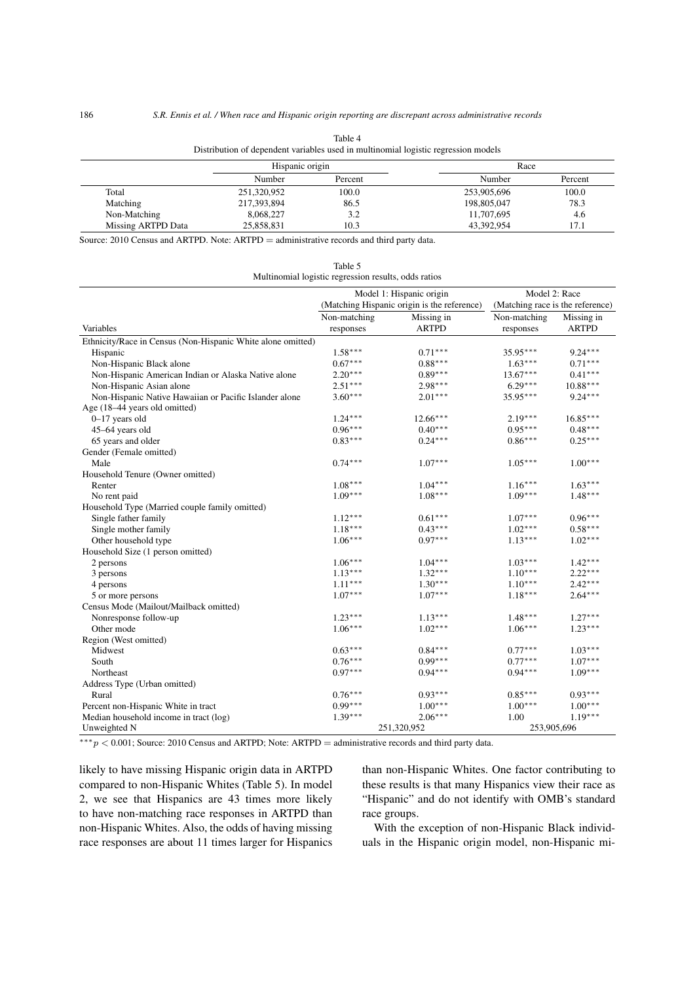<span id="page-7-0"></span>

|                    | Hispanic origin |         | Race        |         |
|--------------------|-----------------|---------|-------------|---------|
|                    | Number          | Percent | Number      | Percent |
| Total              | 251,320,952     | 100.0   | 253,905,696 | 100.0   |
| Matching           | 217,393,894     | 86.5    | 198,805,047 | 78.3    |
| Non-Matching       | 8,068,227       | 3.2     | 11,707,695  | 4.6     |
| Missing ARTPD Data | 25,858,831      | 10.3    | 43.392.954  | 17.1    |

Table 4 Distribution of dependent variables used in multinomial logistic regression models

Source: 2010 Census and ARTPD. Note: ARTPD = administrative records and third party data.

| Table 5                                              |  |
|------------------------------------------------------|--|
| Multinomial logistic regression results, odds ratios |  |

<span id="page-7-1"></span>

|                                                             | Model 1: Hispanic origin |                                             | Model 2: Race                    |              |
|-------------------------------------------------------------|--------------------------|---------------------------------------------|----------------------------------|--------------|
|                                                             |                          | (Matching Hispanic origin is the reference) | (Matching race is the reference) |              |
|                                                             | Non-matching             | Missing in                                  | Non-matching                     | Missing in   |
| Variables                                                   | responses                | <b>ARTPD</b>                                | responses                        | <b>ARTPD</b> |
| Ethnicity/Race in Census (Non-Hispanic White alone omitted) |                          |                                             |                                  |              |
| Hispanic                                                    | $1.58***$                | $0.71***$                                   | $35.95***$                       | $9.24***$    |
| Non-Hispanic Black alone                                    | $0.67***$                | $0.88***$                                   | $1.63***$                        | $0.71***$    |
| Non-Hispanic American Indian or Alaska Native alone         | $2.20***$                | $0.89***$                                   | $13.67***$                       | $0.41***$    |
| Non-Hispanic Asian alone                                    | $2.51***$                | $2.98***$                                   | $6.29***$                        | $10.88***$   |
| Non-Hispanic Native Hawaiian or Pacific Islander alone      | $3.60***$                | $2.01***$                                   | $35.95***$                       | $9.24***$    |
| Age (18–44 years old omitted)                               |                          |                                             |                                  |              |
| $0-17$ years old                                            | $1.24***$                | $12.66***$                                  | $2.19***$                        | $16.85***$   |
| 45-64 years old                                             | $0.96***$                | $0.40***$                                   | $0.95***$                        | $0.48***$    |
| 65 years and older                                          | $0.83***$                | $0.24***$                                   | $0.86***$                        | $0.25***$    |
| Gender (Female omitted)                                     |                          |                                             |                                  |              |
| Male                                                        | $0.74***$                | $1.07***$                                   | $1.05***$                        | $1.00***$    |
| Household Tenure (Owner omitted)                            |                          |                                             |                                  |              |
| Renter                                                      | $1.08***$                | $1.04***$                                   | $1.16***$                        | $1.63***$    |
| No rent paid                                                | $1.09***$                | $1.08***$                                   | $1.09***$                        | $1.48***$    |
| Household Type (Married couple family omitted)              |                          |                                             |                                  |              |
| Single father family                                        | $1.12***$                | $0.61***$                                   | $1.07***$                        | $0.96***$    |
| Single mother family                                        | $1.18***$                | $0.43***$                                   | $1.02***$                        | $0.58***$    |
| Other household type                                        | $1.06***$                | $0.97***$                                   | $1.13***$                        | $1.02***$    |
| Household Size (1 person omitted)                           |                          |                                             |                                  |              |
| 2 persons                                                   | $1.06***$                | $1.04***$                                   | $1.03***$                        | $1.42***$    |
| 3 persons                                                   | $1.13***$                | $1.32***$                                   | $1.10***$                        | $2.22***$    |
| 4 persons                                                   | $1.11***$                | $1.30***$                                   | $1.10***$                        | $2.42***$    |
| 5 or more persons                                           | $1.07***$                | $1.07***$                                   | $1.18***$                        | $2.64***$    |
| Census Mode (Mailout/Mailback omitted)                      |                          |                                             |                                  |              |
| Nonresponse follow-up                                       | $1.23***$                | $1.13***$                                   | $1.48***$                        | $1.27***$    |
| Other mode                                                  | $1.06***$                | $1.02***$                                   | $1.06***$                        | $1.23***$    |
| Region (West omitted)                                       |                          |                                             |                                  |              |
| Midwest                                                     | $0.63***$                | $0.84***$                                   | $0.77***$                        | $1.03***$    |
| South                                                       | $0.76***$                | $0.99***$                                   | $0.77***$                        | $1.07***$    |
| Northeast                                                   | $0.97***$                | $0.94***$                                   | $0.94***$                        | $1.09***$    |
| Address Type (Urban omitted)                                |                          |                                             |                                  |              |
| Rural                                                       | $0.76***$                | $0.93***$                                   | $0.85***$                        | $0.93***$    |
| Percent non-Hispanic White in tract                         | $0.99***$                | $1.00***$                                   | $1.00***$                        | $1.00***$    |
| Median household income in tract (log)                      | $1.39***$                | $2.06***$                                   | 1.00                             | $1.19***$    |
| Unweighted N                                                |                          | 251.320.952                                 | 253,905,696                      |              |

 $***p$  < 0.001; Source: 2010 Census and ARTPD; Note: ARTPD = administrative records and third party data.

likely to have missing Hispanic origin data in ARTPD compared to non-Hispanic Whites (Table [5\)](#page-7-1). In model 2, we see that Hispanics are 43 times more likely to have non-matching race responses in ARTPD than non-Hispanic Whites. Also, the odds of having missing race responses are about 11 times larger for Hispanics than non-Hispanic Whites. One factor contributing to these results is that many Hispanics view their race as "Hispanic" and do not identify with OMB's standard race groups.

With the exception of non-Hispanic Black individuals in the Hispanic origin model, non-Hispanic mi-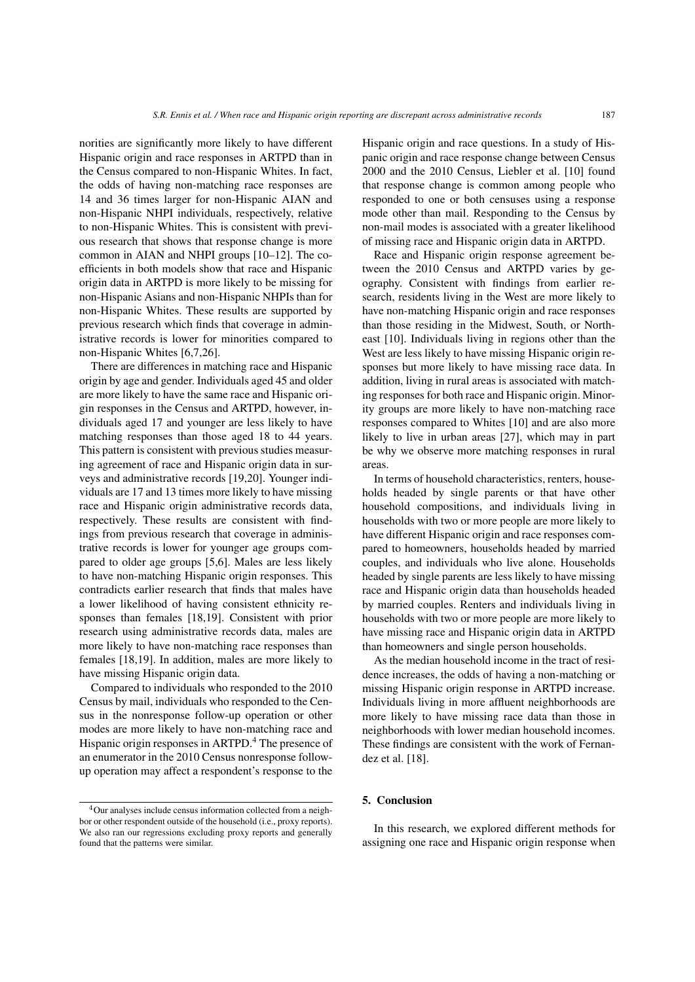norities are significantly more likely to have different Hispanic origin and race responses in ARTPD than in the Census compared to non-Hispanic Whites. In fact, the odds of having non-matching race responses are 14 and 36 times larger for non-Hispanic AIAN and non-Hispanic NHPI individuals, respectively, relative to non-Hispanic Whites. This is consistent with previous research that shows that response change is more common in AIAN and NHPI groups [\[10](#page-10-6)[–12\]](#page-10-7). The coefficients in both models show that race and Hispanic origin data in ARTPD is more likely to be missing for non-Hispanic Asians and non-Hispanic NHPIs than for non-Hispanic Whites. These results are supported by previous research which finds that coverage in administrative records is lower for minorities compared to non-Hispanic Whites [\[6,](#page-10-3)[7,](#page-10-4)[26\]](#page-10-21).

There are differences in matching race and Hispanic origin by age and gender. Individuals aged 45 and older are more likely to have the same race and Hispanic origin responses in the Census and ARTPD, however, individuals aged 17 and younger are less likely to have matching responses than those aged 18 to 44 years. This pattern is consistent with previous studies measuring agreement of race and Hispanic origin data in surveys and administrative records [\[19,](#page-10-14)[20\]](#page-10-15). Younger individuals are 17 and 13 times more likely to have missing race and Hispanic origin administrative records data, respectively. These results are consistent with findings from previous research that coverage in administrative records is lower for younger age groups compared to older age groups [\[5,](#page-10-2)[6\]](#page-10-3). Males are less likely to have non-matching Hispanic origin responses. This contradicts earlier research that finds that males have a lower likelihood of having consistent ethnicity responses than females [\[18](#page-10-13)[,19\]](#page-10-14). Consistent with prior research using administrative records data, males are more likely to have non-matching race responses than females [\[18](#page-10-13)[,19\]](#page-10-14). In addition, males are more likely to have missing Hispanic origin data.

Compared to individuals who responded to the 2010 Census by mail, individuals who responded to the Census in the nonresponse follow-up operation or other modes are more likely to have non-matching race and Hispanic origin responses in ARTPD.<sup>[4](#page-8-0)</sup> The presence of an enumerator in the 2010 Census nonresponse followup operation may affect a respondent's response to the Hispanic origin and race questions. In a study of Hispanic origin and race response change between Census 2000 and the 2010 Census, Liebler et al. [\[10\]](#page-10-6) found that response change is common among people who responded to one or both censuses using a response mode other than mail. Responding to the Census by non-mail modes is associated with a greater likelihood of missing race and Hispanic origin data in ARTPD.

Race and Hispanic origin response agreement between the 2010 Census and ARTPD varies by geography. Consistent with findings from earlier research, residents living in the West are more likely to have non-matching Hispanic origin and race responses than those residing in the Midwest, South, or Northeast [\[10\]](#page-10-6). Individuals living in regions other than the West are less likely to have missing Hispanic origin responses but more likely to have missing race data. In addition, living in rural areas is associated with matching responses for both race and Hispanic origin. Minority groups are more likely to have non-matching race responses compared to Whites [\[10\]](#page-10-6) and are also more likely to live in urban areas [\[27\]](#page-10-22), which may in part be why we observe more matching responses in rural areas.

In terms of household characteristics, renters, households headed by single parents or that have other household compositions, and individuals living in households with two or more people are more likely to have different Hispanic origin and race responses compared to homeowners, households headed by married couples, and individuals who live alone. Households headed by single parents are less likely to have missing race and Hispanic origin data than households headed by married couples. Renters and individuals living in households with two or more people are more likely to have missing race and Hispanic origin data in ARTPD than homeowners and single person households.

As the median household income in the tract of residence increases, the odds of having a non-matching or missing Hispanic origin response in ARTPD increase. Individuals living in more affluent neighborhoods are more likely to have missing race data than those in neighborhoods with lower median household incomes. These findings are consistent with the work of Fernandez et al. [\[18\]](#page-10-13).

#### 5. Conclusion

In this research, we explored different methods for assigning one race and Hispanic origin response when

<span id="page-8-0"></span><sup>4</sup>Our analyses include census information collected from a neighbor or other respondent outside of the household (i.e., proxy reports). We also ran our regressions excluding proxy reports and generally found that the patterns were similar.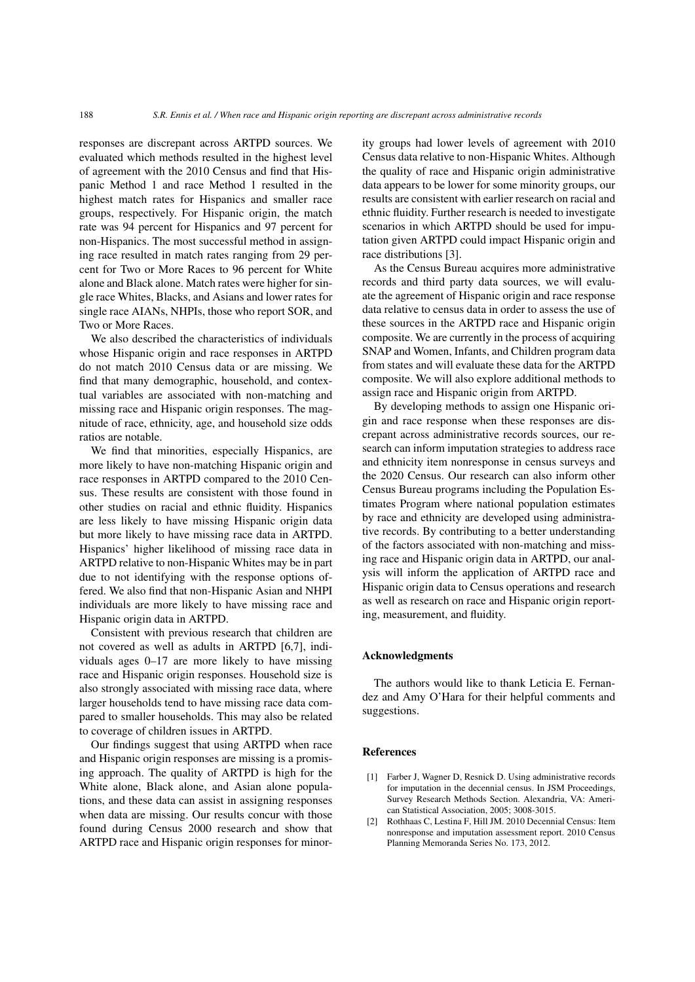responses are discrepant across ARTPD sources. We evaluated which methods resulted in the highest level of agreement with the 2010 Census and find that Hispanic Method 1 and race Method 1 resulted in the highest match rates for Hispanics and smaller race groups, respectively. For Hispanic origin, the match rate was 94 percent for Hispanics and 97 percent for non-Hispanics. The most successful method in assigning race resulted in match rates ranging from 29 percent for Two or More Races to 96 percent for White alone and Black alone. Match rates were higher for single race Whites, Blacks, and Asians and lower rates for single race AIANs, NHPIs, those who report SOR, and Two or More Races.

We also described the characteristics of individuals whose Hispanic origin and race responses in ARTPD do not match 2010 Census data or are missing. We find that many demographic, household, and contextual variables are associated with non-matching and missing race and Hispanic origin responses. The magnitude of race, ethnicity, age, and household size odds ratios are notable.

We find that minorities, especially Hispanics, are more likely to have non-matching Hispanic origin and race responses in ARTPD compared to the 2010 Census. These results are consistent with those found in other studies on racial and ethnic fluidity. Hispanics are less likely to have missing Hispanic origin data but more likely to have missing race data in ARTPD. Hispanics' higher likelihood of missing race data in ARTPD relative to non-Hispanic Whites may be in part due to not identifying with the response options offered. We also find that non-Hispanic Asian and NHPI individuals are more likely to have missing race and Hispanic origin data in ARTPD.

Consistent with previous research that children are not covered as well as adults in ARTPD [\[6](#page-10-3)[,7\]](#page-10-4), individuals ages 0–17 are more likely to have missing race and Hispanic origin responses. Household size is also strongly associated with missing race data, where larger households tend to have missing race data compared to smaller households. This may also be related to coverage of children issues in ARTPD.

Our findings suggest that using ARTPD when race and Hispanic origin responses are missing is a promising approach. The quality of ARTPD is high for the White alone, Black alone, and Asian alone populations, and these data can assist in assigning responses when data are missing. Our results concur with those found during Census 2000 research and show that ARTPD race and Hispanic origin responses for minority groups had lower levels of agreement with 2010 Census data relative to non-Hispanic Whites. Although the quality of race and Hispanic origin administrative data appears to be lower for some minority groups, our results are consistent with earlier research on racial and ethnic fluidity. Further research is needed to investigate scenarios in which ARTPD should be used for imputation given ARTPD could impact Hispanic origin and race distributions [\[3\]](#page-10-0).

As the Census Bureau acquires more administrative records and third party data sources, we will evaluate the agreement of Hispanic origin and race response data relative to census data in order to assess the use of these sources in the ARTPD race and Hispanic origin composite. We are currently in the process of acquiring SNAP and Women, Infants, and Children program data from states and will evaluate these data for the ARTPD composite. We will also explore additional methods to assign race and Hispanic origin from ARTPD.

By developing methods to assign one Hispanic origin and race response when these responses are discrepant across administrative records sources, our research can inform imputation strategies to address race and ethnicity item nonresponse in census surveys and the 2020 Census. Our research can also inform other Census Bureau programs including the Population Estimates Program where national population estimates by race and ethnicity are developed using administrative records. By contributing to a better understanding of the factors associated with non-matching and missing race and Hispanic origin data in ARTPD, our analysis will inform the application of ARTPD race and Hispanic origin data to Census operations and research as well as research on race and Hispanic origin reporting, measurement, and fluidity.

## Acknowledgments

The authors would like to thank Leticia E. Fernandez and Amy O'Hara for their helpful comments and suggestions.

#### References

- <span id="page-9-0"></span>[1] Farber J, Wagner D, Resnick D. Using administrative records for imputation in the decennial census. In JSM Proceedings, Survey Research Methods Section. Alexandria, VA: American Statistical Association, 2005; 3008-3015.
- <span id="page-9-1"></span>[2] Rothhaas C, Lestina F, Hill JM. 2010 Decennial Census: Item nonresponse and imputation assessment report. 2010 Census Planning Memoranda Series No. 173, 2012.